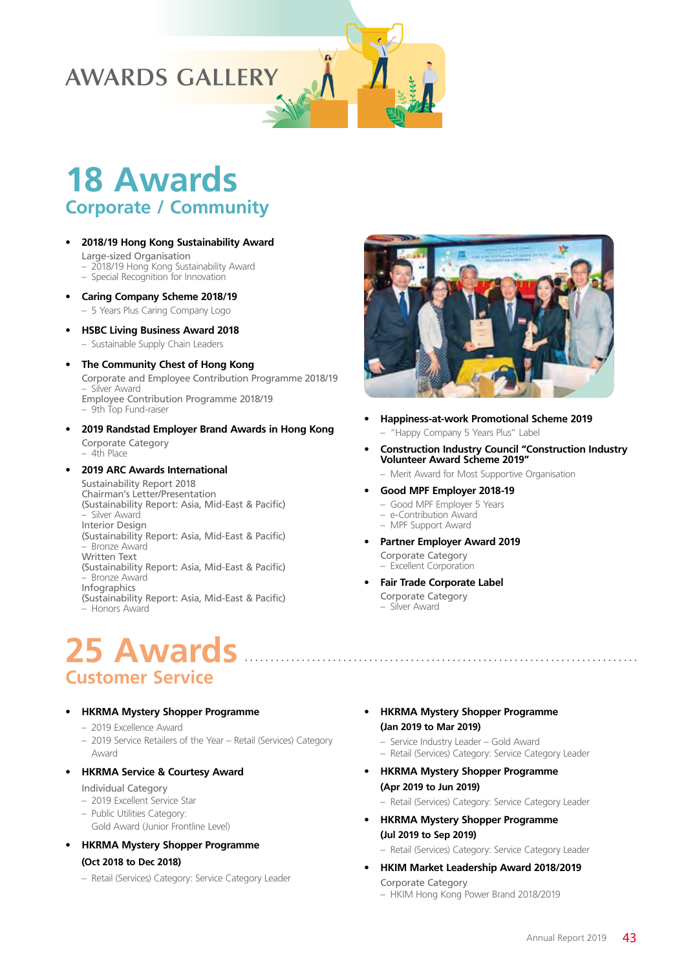### **AWARDS GALLERY**

# **18 Awards Corporate / Community**

- **• 2018/19 Hong Kong Sustainability Award**
	- Large-sized Organisation
	- 2018/19 Hong Kong Sustainability Award – Special Recognition for Innovation
- **• Caring Company Scheme 2018/19**
	- 5 Years Plus Caring Company Logo
- **• HSBC Living Business Award 2018** – Sustainable Supply Chain Leaders
- **• The Community Chest of Hong Kong** Corporate and Employee Contribution Programme 2018/19 – Silver Award Employee Contribution Programme 2018/19 – 9th Top Fund-raiser
- **• 2019 Randstad Employer Brand Awards in Hong Kong** Corporate Category – 4th Place
- **• 2019 ARC Awards International**

Sustainability Report 2018 Chairman's Letter/Presentation (Sustainability Report: Asia, Mid-East & Pacific) – Silver Award Interior Design (Sustainability Report: Asia, Mid-East & Pacific) – Bronze Award Written Text (Sustainability Report: Asia, Mid-East & Pacific) – Bronze Award **Infographics** (Sustainability Report: Asia, Mid-East & Pacific) – Honors Award

## **25 Awards Customer Service**

#### **• HKRMA Mystery Shopper Programme**

- 2019 Excellence Award
- 2019 Service Retailers of the Year Retail (Services) Category Award
- **• HKRMA Service & Courtesy Award**

#### Individual Category

- 2019 Excellent Service Star
- Public Utilities Category:
- Gold Award (Junior Frontline Level)
- **• HKRMA Mystery Shopper Programme**

#### **(Oct 2018 to Dec 2018)**

– Retail (Services) Category: Service Category Leader



- **• Happiness-at-work Promotional Scheme 2019** – "Happy Company 5 Years Plus" Label
- **• Construction Industry Council "Construction Industry Volunteer Award Scheme 2019"**

– Merit Award for Most Supportive Organisation

- **• Good MPF Employer 2018-19**
- Good MPF Employer 5 Years
- e-Contribution Award – MPF Support Award
- **• Partner Employer Award 2019** Corporate Category

– Excellent Corporation

- **• Fair Trade Corporate Label** Corporate Category
	- Silver Award
- **• HKRMA Mystery Shopper Programme (Jan 2019 to Mar 2019)**

- Service Industry Leader Gold Award – Retail (Services) Category: Service Category Leader
- **• HKRMA Mystery Shopper Programme**
- **(Apr 2019 to Jun 2019)** – Retail (Services) Category: Service Category Leader
- **• HKRMA Mystery Shopper Programme (Jul 2019 to Sep 2019)**

– Retail (Services) Category: Service Category Leader

- **• HKIM Market Leadership Award 2018/2019** Corporate Category
	- HKIM Hong Kong Power Brand 2018/2019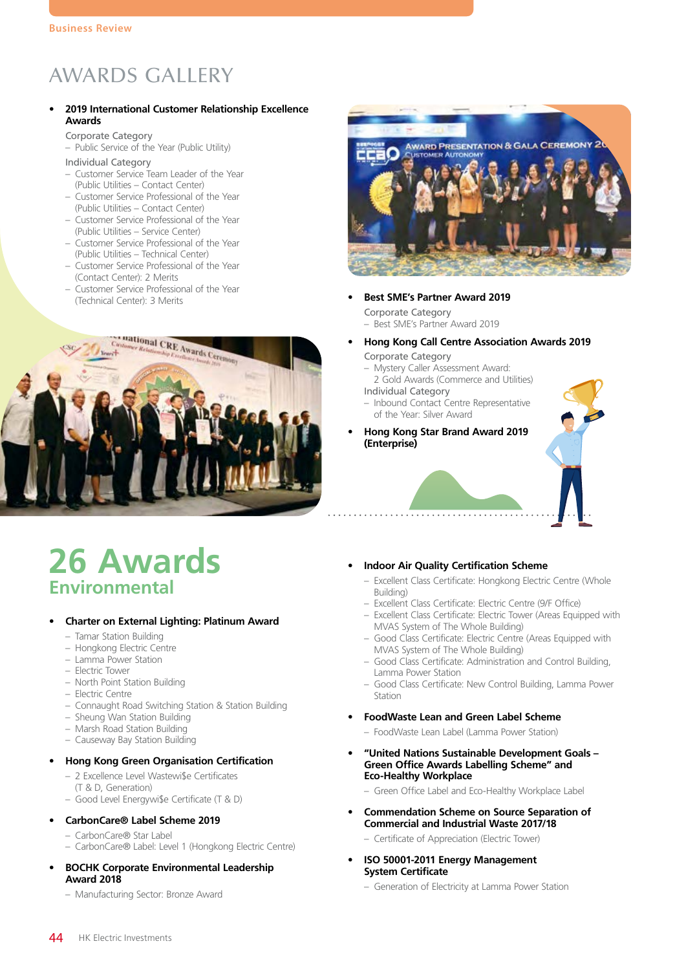### AWARDS GALLERY

#### **• 2019 International Customer Relationship Excellence Awards**

#### Corporate Category

- Public Service of the Year (Public Utility)
- Individual Category
- Customer Service Team Leader of the Year (Public Utilities – Contact Center)
- Customer Service Professional of the Year (Public Utilities – Contact Center)
- Customer Service Professional of the Year (Public Utilities – Service Center)
- Customer Service Professional of the Year (Public Utilities – Technical Center)
- Customer Service Professional of the Year (Contact Center): 2 Merits
- Customer Service Professional of the Year



## **26 Awards Environmental**

### **• Charter on External Lighting: Platinum Award**

- Tamar Station Building
- Hongkong Electric Centre
- Lamma Power Station
- Electric Tower
- North Point Station Building
- Electric Centre
- Connaught Road Switching Station & Station Building
- Sheung Wan Station Building
- Marsh Road Station Building
- Causeway Bay Station Building

### **• Hong Kong Green Organisation Certification**

- 2 Excellence Level Wastewi\$e Certificates (T & D, Generation)
- Good Level Energywi\$e Certificate (T & D)
- **• CarbonCare® Label Scheme 2019**
- CarbonCare® Star Label
- CarbonCare® Label: Level 1 (Hongkong Electric Centre)
- **• BOCHK Corporate Environmental Leadership Award 2018**
	- Manufacturing Sector: Bronze Award



**Best SME's Partner Award 2019** 

Corporate Category – Best SME's Partner Award 2019

- **• Hong Kong Call Centre Association Awards 2019** Corporate Category
	- Mystery Caller Assessment Award: 2 Gold Awards (Commerce and Utilities)
	- Individual Category – Inbound Contact Centre Representative of the Year: Silver Award
- **• Hong Kong Star Brand Award 2019 (Enterprise)**



#### **• Indoor Air Quality Certification Scheme**

- Excellent Class Certificate: Hongkong Electric Centre (Whole Building)
- Excellent Class Certificate: Electric Centre (9/F Office)
- Excellent Class Certificate: Electric Tower (Areas Equipped with MVAS System of The Whole Building)
- Good Class Certificate: Electric Centre (Areas Equipped with MVAS System of The Whole Building)
- Good Class Certificate: Administration and Control Building, Lamma Power Station
- Good Class Certificate: New Control Building, Lamma Power Station
- **• FoodWaste Lean and Green Label Scheme**
	- FoodWaste Lean Label (Lamma Power Station)
- **• "United Nations Sustainable Development Goals Green Office Awards Labelling Scheme" and Eco-Healthy Workplace**
	- Green Office Label and Eco-Healthy Workplace Label
- **• Commendation Scheme on Source Separation of Commercial and Industrial Waste 2017/18**
	- Certificate of Appreciation (Electric Tower)
- **• ISO 50001-2011 Energy Management System Certificate**
	- Generation of Electricity at Lamma Power Station